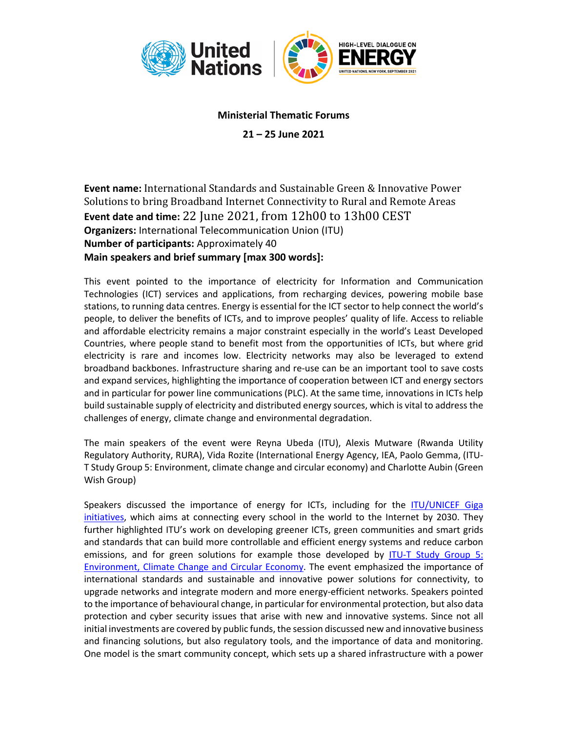

## **Ministerial Thematic Forums**

**21 – 25 June 2021**

**Event name:** International Standards and Sustainable Green & Innovative Power Solutions to bring Broadband Internet Connectivity to Rural and Remote Areas **Event date and time:** 22 June 2021, from 12h00 to 13h00 CEST **Organizers:** International Telecommunication Union (ITU) **Number of participants:** Approximately 40 **Main speakers and brief summary [max 300 words]:**

This event pointed to the importance of electricity for Information and Communication Technologies (ICT) services and applications, from recharging devices, powering mobile base stations, to running data centres. Energy is essential for the ICT sector to help connect the world's people, to deliver the benefits of ICTs, and to improve peoples' quality of life. Access to reliable and affordable electricity remains a major constraint especially in the world's Least Developed Countries, where people stand to benefit most from the opportunities of ICTs, but where grid electricity is rare and incomes low. Electricity networks may also be leveraged to extend broadband backbones. Infrastructure sharing and re-use can be an important tool to save costs and expand services, highlighting the importance of cooperation between ICT and energy sectors and in particular for power line communications (PLC). At the same time, innovations in ICTs help build sustainable supply of electricity and distributed energy sources, which is vital to address the challenges of energy, climate change and environmental degradation.

The main speakers of the event were Reyna Ubeda (ITU), Alexis Mutware (Rwanda Utility Regulatory Authority, RURA), Vida Rozite (International Energy Agency, IEA, Paolo Gemma, (ITU-T Study Group 5: Environment, climate change and circular economy) and Charlotte Aubin (Green Wish Group)

Speakers discussed the importance of energy for ICTs, including for the ITU/UNICEF Giga initiatives, which aims at connecting every school in the world to the Internet by 2030. They further highlighted ITU's work on developing greener ICTs, green communities and smart grids and standards that can build more controllable and efficient energy systems and reduce carbon emissions, and for green solutions for example those developed by ITU-T Study Group 5: Environment, Climate Change and Circular Economy. The event emphasized the importance of international standards and sustainable and innovative power solutions for connectivity, to upgrade networks and integrate modern and more energy-efficient networks. Speakers pointed to the importance of behavioural change, in particular for environmental protection, but also data protection and cyber security issues that arise with new and innovative systems. Since not all initial investments are covered by public funds, the session discussed new and innovative business and financing solutions, but also regulatory tools, and the importance of data and monitoring. One model is the smart community concept, which sets up a shared infrastructure with a power